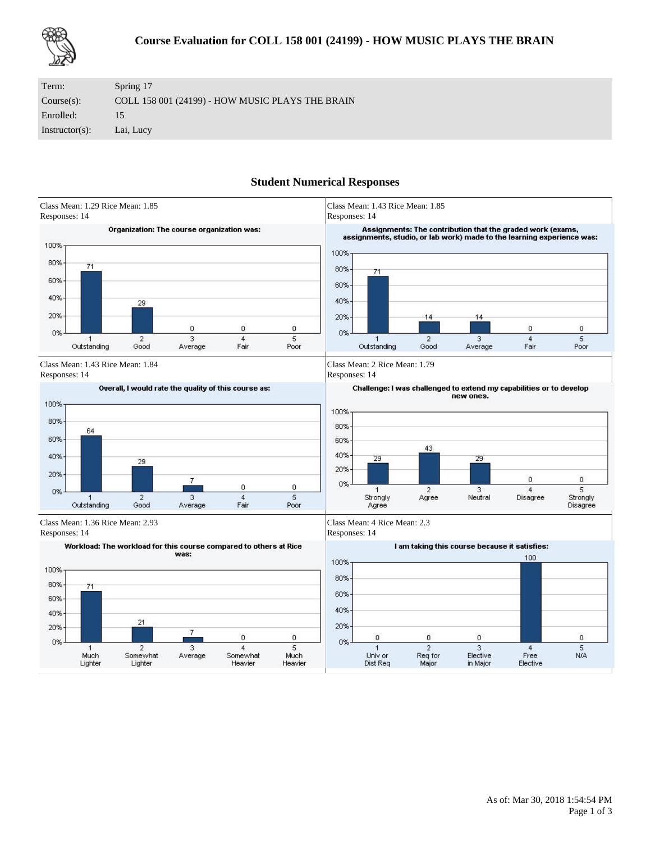

| Term:             | Spring 17                                        |
|-------------------|--------------------------------------------------|
| Course(s):        | COLL 158 001 (24199) - HOW MUSIC PLAYS THE BRAIN |
| Enrolled:         | 15                                               |
| $Instructor(s)$ : | Lai, Lucy                                        |

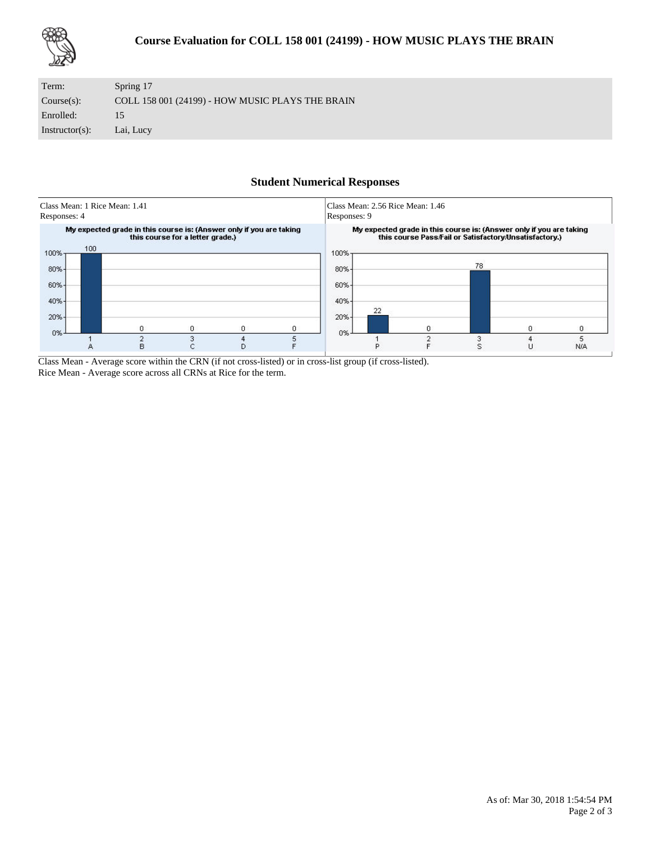

| Term:             | Spring 17                                        |
|-------------------|--------------------------------------------------|
| Course(s):        | COLL 158 001 (24199) - HOW MUSIC PLAYS THE BRAIN |
| Enrolled:         | 15.                                              |
| $Instructor(s)$ : | Lai, Lucy                                        |



Class Mean - Average score within the CRN (if not cross-listed) or in cross-list group (if cross-listed). Rice Mean - Average score across all CRNs at Rice for the term.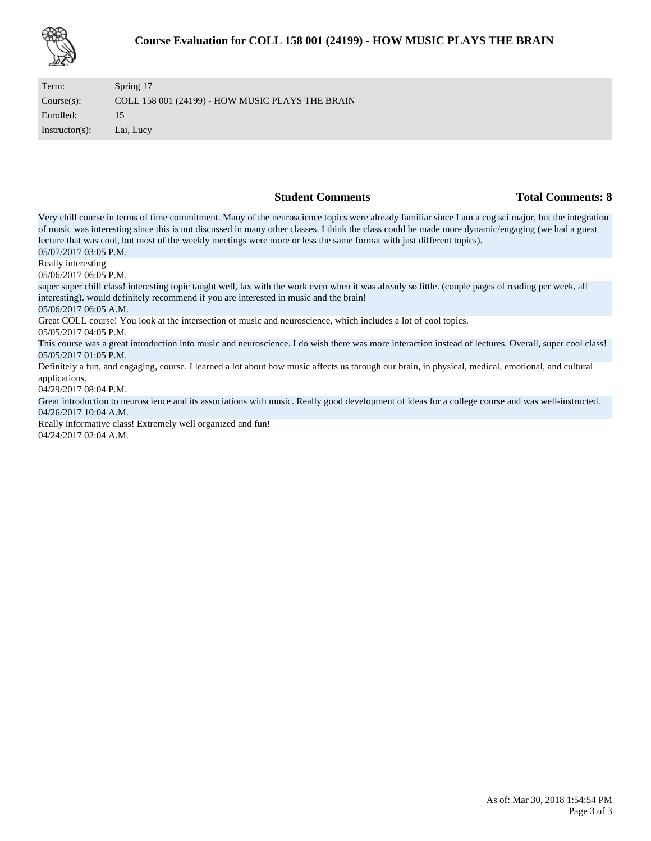

| Term:             | Spring 17                                        |
|-------------------|--------------------------------------------------|
| Course(s):        | COLL 158 001 (24199) - HOW MUSIC PLAYS THE BRAIN |
| Enrolled:         | 15                                               |
| $Instructor(s)$ : | Lai, Lucy                                        |

### **Student Comments Total Comments: 8**

Very chill course in terms of time commitment. Many of the neuroscience topics were already familiar since I am a cog sci major, but the integration of music was interesting since this is not discussed in many other classes. I think the class could be made more dynamic/engaging (we had a guest lecture that was cool, but most of the weekly meetings were more or less the same format with just different topics). 05/07/2017 03:05 P.M.

Really interesting

05/06/2017 06:05 P.M.

super super chill class! interesting topic taught well, lax with the work even when it was already so little. (couple pages of reading per week, all interesting). would definitely recommend if you are interested in music and the brain!

05/06/2017 06:05 A.M.

Great COLL course! You look at the intersection of music and neuroscience, which includes a lot of cool topics.

05/05/2017 04:05 P.M.

This course was a great introduction into music and neuroscience. I do wish there was more interaction instead of lectures. Overall, super cool class! 05/05/2017 01:05 P.M.

Definitely a fun, and engaging, course. I learned a lot about how music affects us through our brain, in physical, medical, emotional, and cultural applications.

04/29/2017 08:04 P.M.

Great introduction to neuroscience and its associations with music. Really good development of ideas for a college course and was well-instructed. 04/26/2017 10:04 A.M.

Really informative class! Extremely well organized and fun! 04/24/2017 02:04 A.M.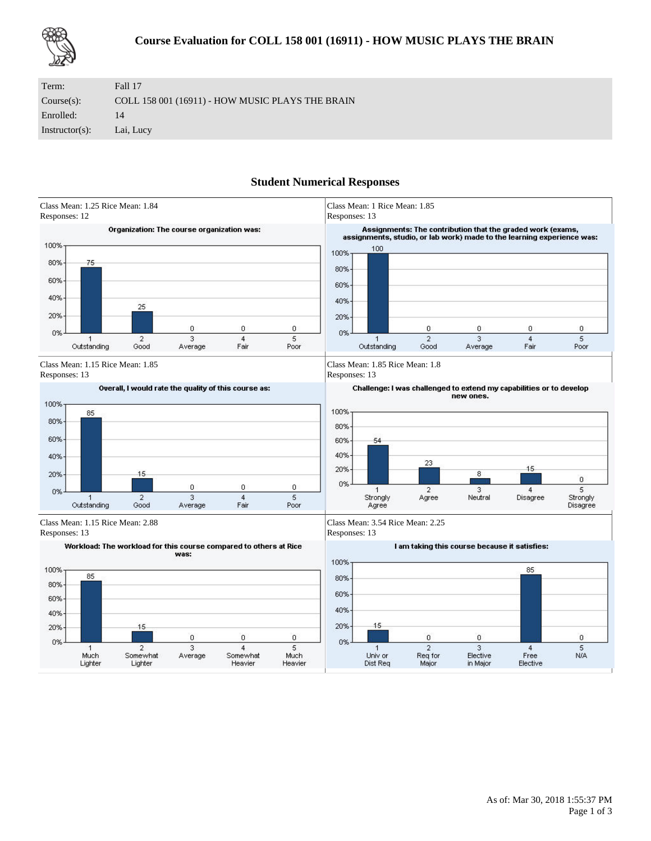

| Term:             | Fall 17                                          |
|-------------------|--------------------------------------------------|
| Course(s):        | COLL 158 001 (16911) - HOW MUSIC PLAYS THE BRAIN |
| Enrolled:         | 14                                               |
| $Instructor(s)$ : | Lai, Lucy                                        |

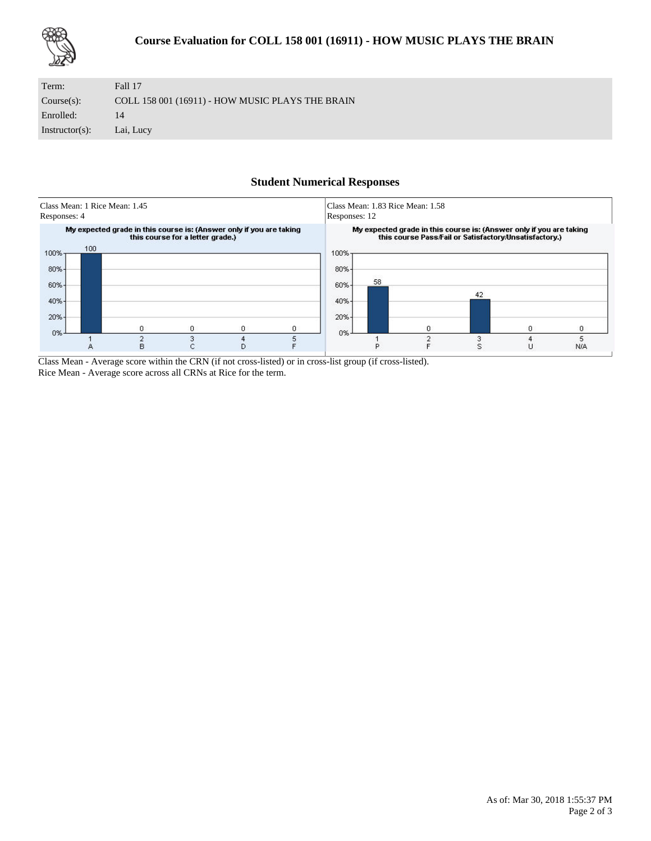

| Term:             | Fall 17                                          |
|-------------------|--------------------------------------------------|
| Course(s):        | COLL 158 001 (16911) - HOW MUSIC PLAYS THE BRAIN |
| Enrolled:         | 14                                               |
| $Instructor(s)$ : | Lai, Lucy                                        |



Class Mean - Average score within the CRN (if not cross-listed) or in cross-list group (if cross-listed). Rice Mean - Average score across all CRNs at Rice for the term.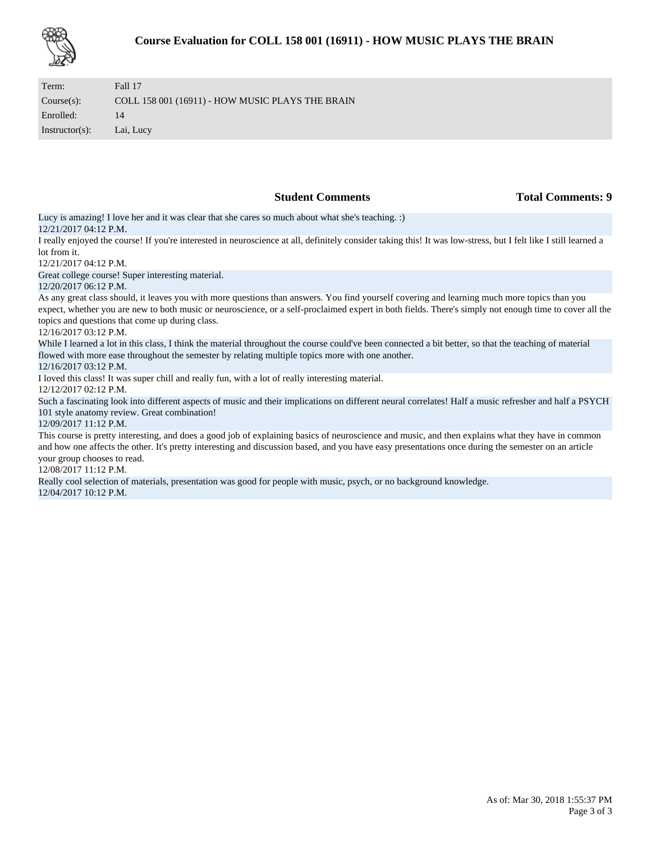| Term:             | Fall 17                                          |
|-------------------|--------------------------------------------------|
| Course(s):        | COLL 158 001 (16911) - HOW MUSIC PLAYS THE BRAIN |
| Enrolled:         | 14                                               |
| $Instructor(s)$ : | Lai, Lucy                                        |

**Student Comments Total Comments: 9** 

Lucy is amazing! I love her and it was clear that she cares so much about what she's teaching. :) 12/21/2017 04:12 P.M.

I really enjoyed the course! If you're interested in neuroscience at all, definitely consider taking this! It was low-stress, but I felt like I still learned a lot from it.

12/21/2017 04:12 P.M.

Great college course! Super interesting material.

#### 12/20/2017 06:12 P.M.

As any great class should, it leaves you with more questions than answers. You find yourself covering and learning much more topics than you expect, whether you are new to both music or neuroscience, or a self-proclaimed expert in both fields. There's simply not enough time to cover all the topics and questions that come up during class.

### 12/16/2017 03:12 P.M.

While I learned a lot in this class, I think the material throughout the course could've been connected a bit better, so that the teaching of material flowed with more ease throughout the semester by relating multiple topics more with one another.

### 12/16/2017 03:12 P.M.

I loved this class! It was super chill and really fun, with a lot of really interesting material.

12/12/2017 02:12 P.M.

Such a fascinating look into different aspects of music and their implications on different neural correlates! Half a music refresher and half a PSYCH 101 style anatomy review. Great combination!

#### 12/09/2017 11:12 P.M.

This course is pretty interesting, and does a good job of explaining basics of neuroscience and music, and then explains what they have in common and how one affects the other. It's pretty interesting and discussion based, and you have easy presentations once during the semester on an article your group chooses to read.

### 12/08/2017 11:12 P.M.

Really cool selection of materials, presentation was good for people with music, psych, or no background knowledge. 12/04/2017 10:12 P.M.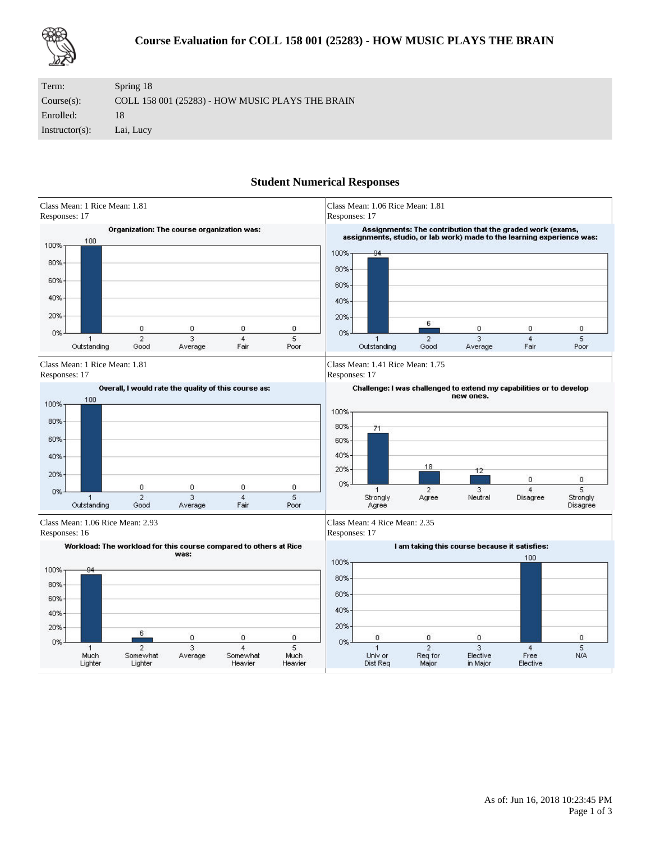

| Term:             | Spring 18                                        |
|-------------------|--------------------------------------------------|
| Course(s):        | COLL 158 001 (25283) - HOW MUSIC PLAYS THE BRAIN |
| Enrolled:         | 18                                               |
| $Instructor(s)$ : | Lai, Lucy                                        |

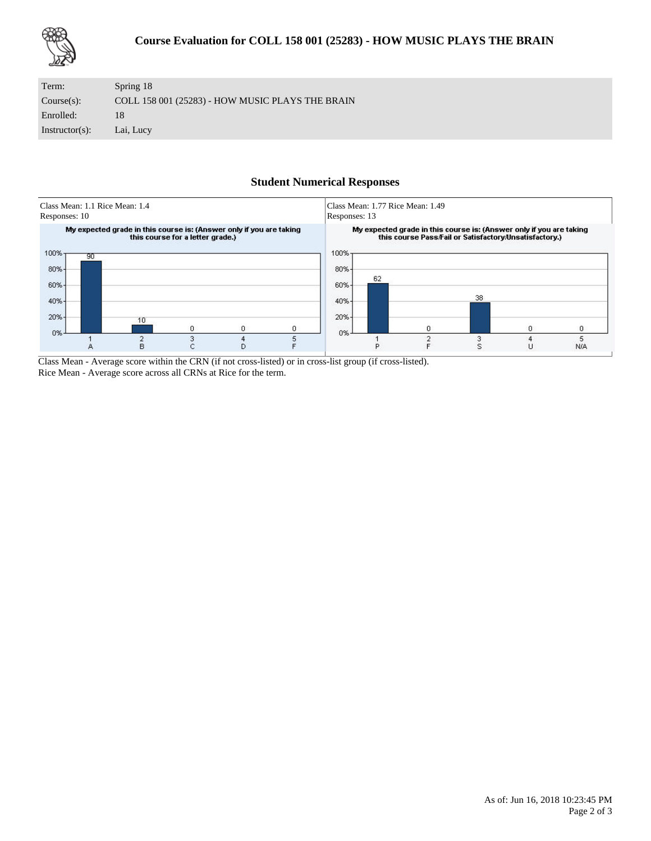

| Term:             | Spring 18                                        |
|-------------------|--------------------------------------------------|
| Course(s):        | COLL 158 001 (25283) - HOW MUSIC PLAYS THE BRAIN |
| Enrolled:         | 18                                               |
| $Instructor(s)$ : | Lai, Lucy                                        |



Class Mean - Average score within the CRN (if not cross-listed) or in cross-list group (if cross-listed). Rice Mean - Average score across all CRNs at Rice for the term.